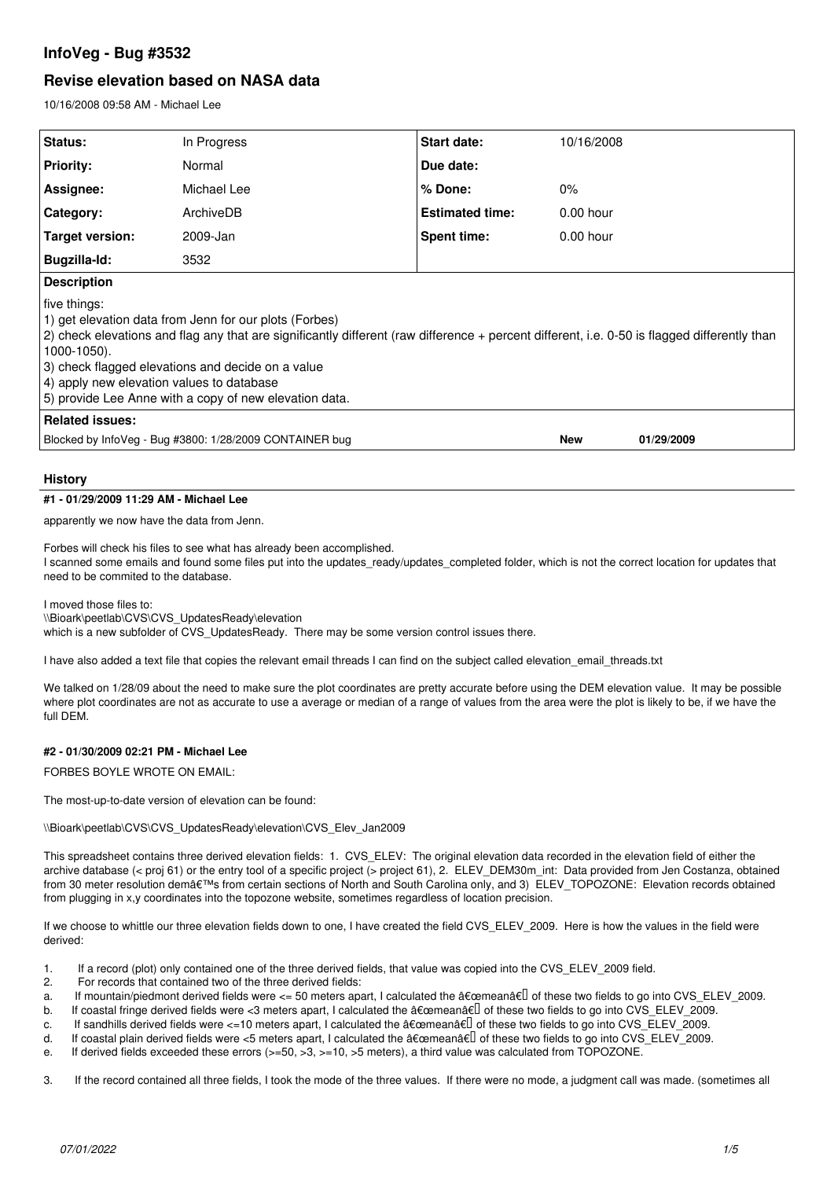# **InfoVeg - Bug #3532**

# **Revise elevation based on NASA data**

10/16/2008 09:58 AM - Michael Lee

| Status:                                                                                                                                                                                                                                                                                                                                                                                            | In Progress | Start date:            | 10/16/2008  |            |
|----------------------------------------------------------------------------------------------------------------------------------------------------------------------------------------------------------------------------------------------------------------------------------------------------------------------------------------------------------------------------------------------------|-------------|------------------------|-------------|------------|
| <b>Priority:</b>                                                                                                                                                                                                                                                                                                                                                                                   | Normal      | Due date:              |             |            |
| Assignee:                                                                                                                                                                                                                                                                                                                                                                                          | Michael Lee | % Done:                | 0%          |            |
| Category:                                                                                                                                                                                                                                                                                                                                                                                          | ArchiveDB   | <b>Estimated time:</b> | $0.00$ hour |            |
| Target version:                                                                                                                                                                                                                                                                                                                                                                                    | 2009-Jan    | Spent time:            | $0.00$ hour |            |
| Bugzilla-Id:                                                                                                                                                                                                                                                                                                                                                                                       | 3532        |                        |             |            |
| <b>Description</b>                                                                                                                                                                                                                                                                                                                                                                                 |             |                        |             |            |
| five things:<br>1) get elevation data from Jenn for our plots (Forbes)<br>2) check elevations and flag any that are significantly different (raw difference + percent different, i.e. 0-50 is flagged differently than<br>1000-1050).<br>3) check flagged elevations and decide on a value<br>4) apply new elevation values to database<br>[5] provide Lee Anne with a copy of new elevation data. |             |                        |             |            |
| Related issues:                                                                                                                                                                                                                                                                                                                                                                                    |             |                        |             |            |
| Blocked by InfoVeg - Bug #3800: 1/28/2009 CONTAINER bug                                                                                                                                                                                                                                                                                                                                            |             |                        | <b>New</b>  | 01/29/2009 |

### **History**

#### **#1 - 01/29/2009 11:29 AM - Michael Lee**

apparently we now have the data from Jenn.

Forbes will check his files to see what has already been accomplished. I scanned some emails and found some files put into the updates ready/updates completed folder, which is not the correct location for updates that need to be commited to the database.

I moved those files to:

\\Bioark\peetlab\CVS\CVS\_UpdatesReady\elevation which is a new subfolder of CVS\_UpdatesReady. There may be some version control issues there.

I have also added a text file that copies the relevant email threads I can find on the subject called elevation email threads.txt

We talked on 1/28/09 about the need to make sure the plot coordinates are pretty accurate before using the DEM elevation value. It may be possible where plot coordinates are not as accurate to use a average or median of a range of values from the area were the plot is likely to be, if we have the full DEM.

# **#2 - 01/30/2009 02:21 PM - Michael Lee**

FORBES BOYLE WROTE ON EMAIL:

The most-up-to-date version of elevation can be found:

\\Bioark\peetlab\CVS\CVS\_UpdatesReady\elevation\CVS\_Elev\_Jan2009

This spreadsheet contains three derived elevation fields: 1. CVS\_ELEV: The original elevation data recorded in the elevation field of either the archive database (< proj 61) or the entry tool of a specific project (> project 61), 2. ELEV\_DEM30m\_int: Data provided from Jen Costanza, obtained from 30 meter resolution dem's from certain sections of North and South Carolina only, and 3) ELEV TOPOZONE: Elevation records obtained from plugging in x,y coordinates into the topozone website, sometimes regardless of location precision.

If we choose to whittle our three elevation fields down to one, I have created the field CVS\_ELEV\_2009. Here is how the values in the field were derived:

- 1. If a record (plot) only contained one of the three derived fields, that value was copied into the CVS\_ELEV\_2009 field.
- 2. For records that contained two of the three derived fields:
- a. If mountain/piedmont derived fields were  $\leq 50$  meters apart, I calculated the  $\frac{a}{\epsilon}$  mean $\frac{a}{\epsilon}$  of these two fields to go into CVS\_ELEV\_2009.
- b. If coastal fringe derived fields were <3 meters apart, I calculated the  $\frac{\partial \epsilon}{\partial x}$  are fields to go into CVS\_ELEV\_2009.
- c. If sandhills derived fields were  $\leq 10$  meters apart, I calculated the  $\frac{\partial \mathbf{F}}{\partial \mathbf{F}}$  of these two fields to go into CVS ELEV 2009.
- d. If coastal plain derived fields were <5 meters apart, I calculated the  $\frac{a}{c}$  free two fields to go into CVS\_ELEV\_2009.
- e. If derived fields exceeded these errors ( $> = 50, >3, > = 10, >5$  meters), a third value was calculated from TOPOZONE.

3. If the record contained all three fields, I took the mode of the three values. If there were no mode, a judgment call was made. (sometimes all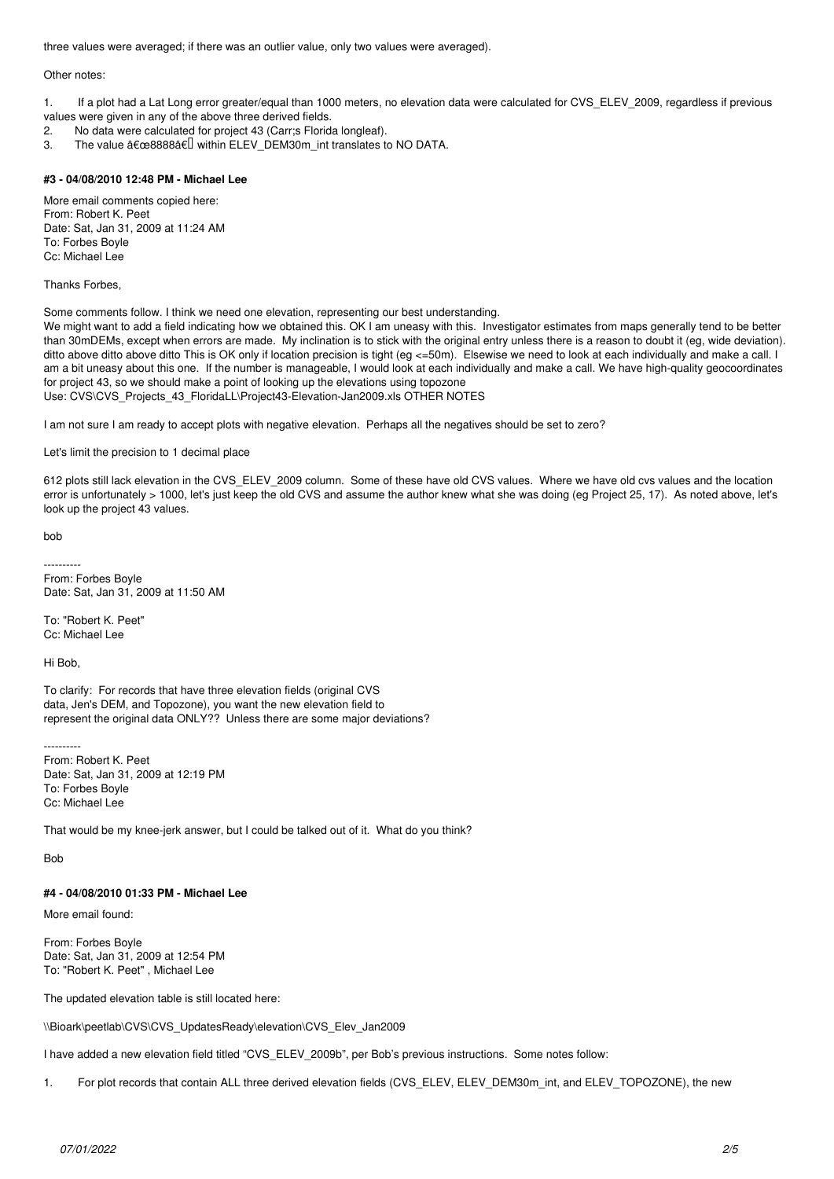three values were averaged; if there was an outlier value, only two values were averaged).

#### Other notes:

1. If a plot had a Lat Long error greater/equal than 1000 meters, no elevation data were calculated for CVS\_ELEV\_2009, regardless if previous values were given in any of the above three derived fields.<br>2 No data were calculated for project 43 (Carris Florid

- 2. No data were calculated for project 43 (Carr;s Florida longleaf).
- 3. The value  $"8888â€$  within ELEV\_DEM30m\_int translates to NO DATA.

### **#3 - 04/08/2010 12:48 PM - Michael Lee**

More email comments copied here: From: Robert K. Peet Date: Sat, Jan 31, 2009 at 11:24 AM To: Forbes Boyle Cc: Michael Lee

Thanks Forbes,

Some comments follow. I think we need one elevation, representing our best understanding.

We might want to add a field indicating how we obtained this. OK I am uneasy with this. Investigator estimates from maps generally tend to be better than 30mDEMs, except when errors are made. My inclination is to stick with the original entry unless there is a reason to doubt it (eg, wide deviation). ditto above ditto above ditto This is OK only if location precision is tight (eg <=50m). Elsewise we need to look at each individually and make a call. I am a bit uneasy about this one. If the number is manageable, I would look at each individually and make a call. We have high-quality geocoordinates for project 43, so we should make a point of looking up the elevations using topozone Use: CVS\CVS\_Projects\_43\_FloridaLL\Project43-Elevation-Jan2009.xls OTHER NOTES

I am not sure I am ready to accept plots with negative elevation. Perhaps all the negatives should be set to zero?

### Let's limit the precision to 1 decimal place

612 plots still lack elevation in the CVS\_ELEV\_2009 column. Some of these have old CVS values. Where we have old cvs values and the location error is unfortunately > 1000, let's just keep the old CVS and assume the author knew what she was doing (eg Project 25, 17). As noted above, let's look up the project 43 values.

bob

---------- From: Forbes Boyle Date: Sat, Jan 31, 2009 at 11:50 AM

To: "Robert K. Peet" Cc: Michael Lee

Hi Bob,

To clarify: For records that have three elevation fields (original CVS data, Jen's DEM, and Topozone), you want the new elevation field to represent the original data ONLY?? Unless there are some major deviations?

---------- From: Robert K. Peet Date: Sat, Jan 31, 2009 at 12:19 PM To: Forbes Boyle Cc: Michael Lee

That would be my knee-jerk answer, but I could be talked out of it. What do you think?

Bob

# **#4 - 04/08/2010 01:33 PM - Michael Lee**

More email found:

From: Forbes Boyle Date: Sat, Jan 31, 2009 at 12:54 PM To: "Robert K. Peet" , Michael Lee

The updated elevation table is still located here:

\\Bioark\peetlab\CVS\CVS\_UpdatesReady\elevation\CVS\_Elev\_Jan2009

I have added a new elevation field titled "CVS\_ELEV\_2009b", per Bob's previous instructions. Some notes follow:

1. For plot records that contain ALL three derived elevation fields (CVS\_ELEV, ELEV\_DEM30m\_int, and ELEV\_TOPOZONE), the new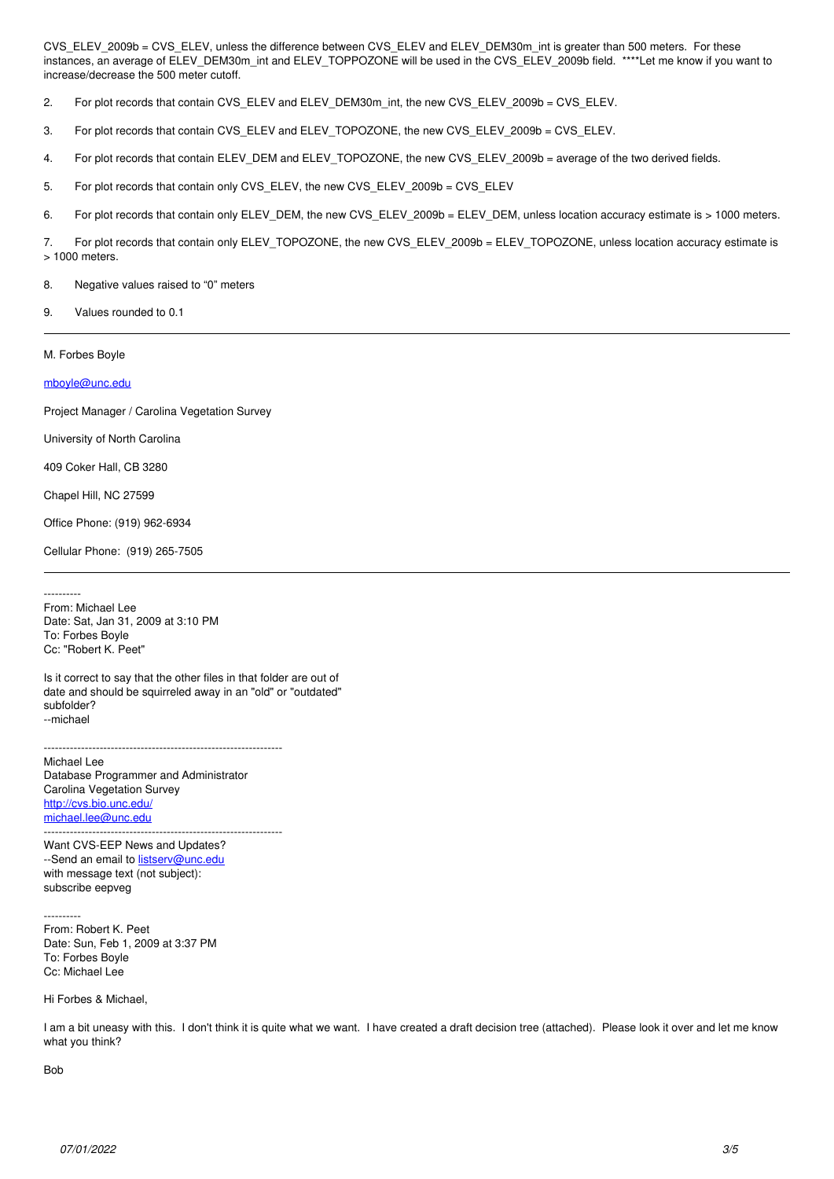CVS\_ELEV\_2009b = CVS\_ELEV, unless the difference between CVS\_ELEV and ELEV\_DEM30m\_int is greater than 500 meters. For these instances, an average of ELEV\_DEM30m\_int and ELEV\_TOPPOZONE will be used in the CVS\_ELEV\_2009b field. \*\*\*\*Let me know if you want to increase/decrease the 500 meter cutoff.

2. For plot records that contain CVS\_ELEV and ELEV\_DEM30m\_int, the new CVS\_ELEV\_2009b = CVS\_ELEV.

3. For plot records that contain CVS\_ELEV and ELEV\_TOPOZONE, the new CVS\_ELEV\_2009b = CVS\_ELEV.

4. For plot records that contain ELEV\_DEM and ELEV\_TOPOZONE, the new CVS\_ELEV\_2009b = average of the two derived fields.

5. For plot records that contain only CVS\_ELEV, the new CVS\_ELEV\_2009b = CVS\_ELEV

6. For plot records that contain only ELEV\_DEM, the new CVS\_ELEV\_2009b = ELEV\_DEM, unless location accuracy estimate is > 1000 meters.

7. For plot records that contain only ELEV\_TOPOZONE, the new CVS\_ELEV\_2009b = ELEV\_TOPOZONE, unless location accuracy estimate is > 1000 meters.

8. Negative values raised to "0" meters

9. Values rounded to 0.1

M. Forbes Boyle

[mboyle@unc.edu](mailto:mboyle@unc.edu)

Project Manager / Carolina Vegetation Survey

University of North Carolina

409 Coker Hall, CB 3280

Chapel Hill, NC 27599

Office Phone: (919) 962-6934

Cellular Phone: (919) 265-7505

---------- From: Michael Lee Date: Sat, Jan 31, 2009 at 3:10 PM To: Forbes Boyle Cc: "Robert K. Peet"

Is it correct to say that the other files in that folder are out of date and should be squirreled away in an "old" or "outdated" subfolder? --michael

----------------------------------------------------------------

Michael Lee Database Programmer and Administrator Carolina Vegetation Survey <http://cvs.bio.unc.edu/> [michael.lee@unc.edu](mailto:michael.lee@unc.edu)  $-$ 

Want CVS-EEP News and Updates? --Send an email to **[listserv@unc.edu](mailto:listserv@unc.edu)** with message text (not subject): subscribe eepveg

---------- From: Robert K. Peet Date: Sun, Feb 1, 2009 at 3:37 PM To: Forbes Boyle Cc: Michael Lee

Hi Forbes & Michael,

I am a bit uneasy with this. I don't think it is quite what we want. I have created a draft decision tree (attached). Please look it over and let me know what you think?

Bob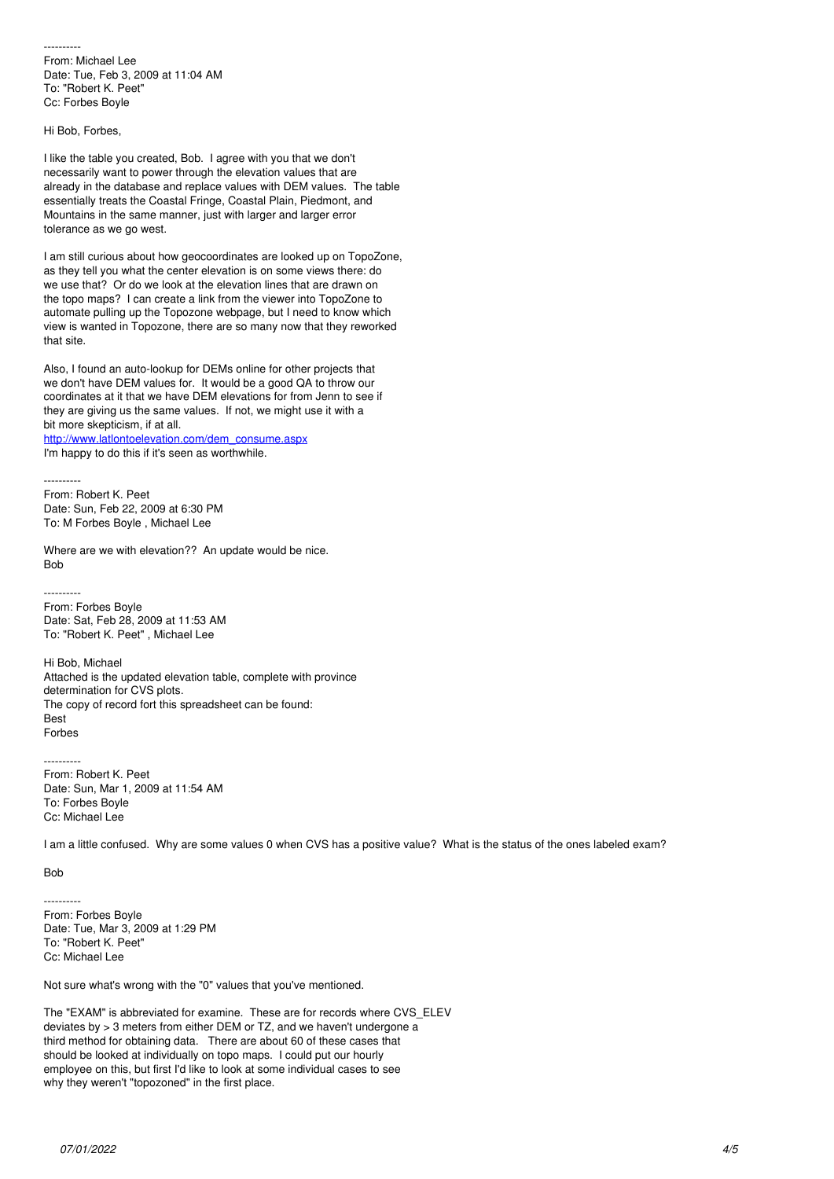---------- From: Michael Lee Date: Tue, Feb 3, 2009 at 11:04 AM To: "Robert K. Peet" Cc: Forbes Boyle

Hi Bob, Forbes,

I like the table you created, Bob. I agree with you that we don't necessarily want to power through the elevation values that are already in the database and replace values with DEM values. The table essentially treats the Coastal Fringe, Coastal Plain, Piedmont, and Mountains in the same manner, just with larger and larger error tolerance as we go west.

I am still curious about how geocoordinates are looked up on TopoZone, as they tell you what the center elevation is on some views there: do we use that? Or do we look at the elevation lines that are drawn on the topo maps? I can create a link from the viewer into TopoZone to automate pulling up the Topozone webpage, but I need to know which view is wanted in Topozone, there are so many now that they reworked that site.

Also, I found an auto-lookup for DEMs online for other projects that we don't have DEM values for. It would be a good QA to throw our coordinates at it that we have DEM elevations for from Jenn to see if they are giving us the same values. If not, we might use it with a bit more skepticism, if at all.

[http://www.latlontoelevation.com/dem\\_consume.aspx](http://www.latlontoelevation.com/dem_consume.aspx) I'm happy to do this if it's seen as worthwhile.

---------- From: Robert K. Peet Date: Sun, Feb 22, 2009 at 6:30 PM To: M Forbes Boyle , Michael Lee

Where are we with elevation?? An update would be nice. **Bob** 

From: Forbes Boyle Date: Sat, Feb 28, 2009 at 11:53 AM To: "Robert K. Peet" , Michael Lee

Hi Bob, Michael Attached is the updated elevation table, complete with province determination for CVS plots. The copy of record fort this spreadsheet can be found: Best Forbes

---------- From: Robert K. Peet Date: Sun, Mar 1, 2009 at 11:54 AM To: Forbes Boyle Cc: Michael Lee

I am a little confused. Why are some values 0 when CVS has a positive value? What is the status of the ones labeled exam?

Bob

----------

---------- From: Forbes Boyle Date: Tue, Mar 3, 2009 at 1:29 PM To: "Robert K. Peet" Cc: Michael Lee

Not sure what's wrong with the "0" values that you've mentioned.

The "EXAM" is abbreviated for examine. These are for records where CVS\_ELEV deviates by > 3 meters from either DEM or TZ, and we haven't undergone a third method for obtaining data. There are about 60 of these cases that should be looked at individually on topo maps. I could put our hourly employee on this, but first I'd like to look at some individual cases to see why they weren't "topozoned" in the first place.